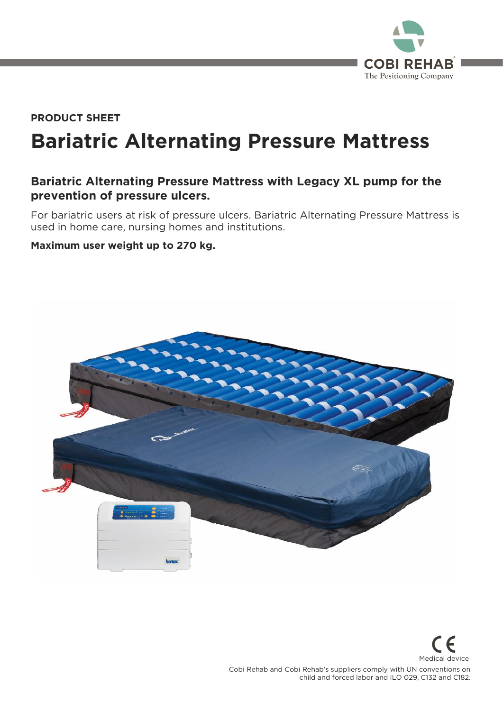

# **Bariatric Alternating Pressure Mattress PRODUCT SHEET**

# **Bariatric Alternating Pressure Mattress with Legacy XL pump for the prevention of pressure ulcers.**

For bariatric users at risk of pressure ulcers. Bariatric Alternating Pressure Mattress is used in home care, nursing homes and institutions. used in home care, nursing homes and institutions.

### **Maximum user weight up to 270 kg.**



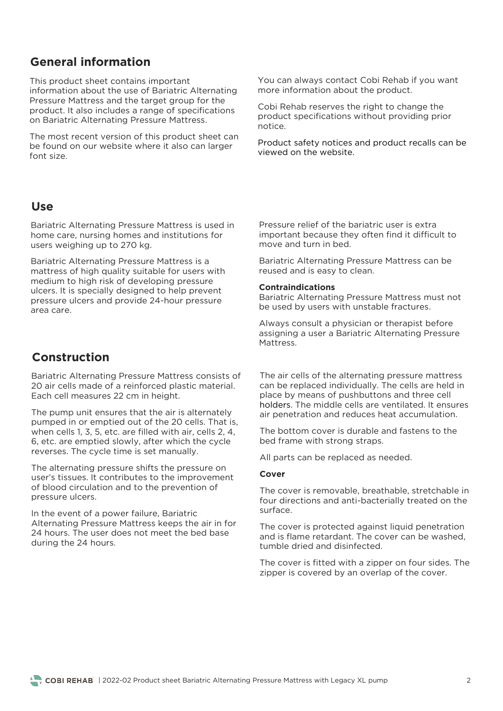# **General information**

This product sheet contains important<br>information about the use of Bariatric Alternating Pressure Mattress and the target group for the product. It also includes a range of specifications on Bariatric Alternating Pressure Mattress. on Bariatric Alternating Pressure Mattress.

The most recent version of this product sheet can be found on our website where it also can larger font size.

### **Use**

Bariatric Alternating Pressure Mattress is used in  $\frac{1}{100}$  homes and institutions in the case of  $\frac{1}{100}$  and  $\frac{1}{100}$  and  $\frac{1}{100}$  and  $\frac{1}{100}$  and  $\frac{1}{100}$  and  $\frac{1}{100}$  and  $\frac{1}{100}$  and  $\frac{1}{100}$  and  $\frac{1}{100}$  and  $\frac{1}{100}$  and  $\frac{1}{100}$ users weighing up to 270 kg.

Bariatric Alternating Pressure Mattress is a<br>mattress of high quality suitable for users with medium to high risk of developing pressure ulcers. It is specially designed to help prevent pressure ulcers and provide 24-hour pressure area care.

## **Construction**

Bariatric Alternating Pressure Mattress consists of 20 air cells made of a reinforced plastic material. Each cell measures 22 cm in height. Each cell measures 22 cm in height.

The pump unit ensures that the air is alternately<br>pumped in or emptied out of the 20 cells. That is, when cells 1, 3, 5, etc. are filled with air, cells 2, 4, 6, etc. are emptied slowly, after which the cycle  $\frac{1}{2}$  for  $\frac{1}{2}$  and  $\frac{1}{2}$  for  $\frac{1}{2}$  and  $\frac{1}{2}$  for  $\frac{1}{2}$  for  $\frac{1}{2}$  for  $\frac{1}{2}$  for  $\frac{1}{2}$  for  $\frac{1}{2}$  for  $\frac{1}{2}$  for  $\frac{1}{2}$  for  $\frac{1}{2}$  for  $\frac{1}{2}$  for  $\frac{1}{2}$  for  $\frac{1}{2}$  f reverses. The cycle time is set manually.

The alternating pressure shifts the pressure on user's tissues. It contributes to the improvement of blood circulation and to the prevention of pressure ulcers. pressure ulcers.

In the event of a power failure, Bariatric<br>Alternating Pressure Mattress keeps the air in for 24 hours. The user does not meet the bed base during the 24 hours. during the 24 hours.

You can always contact Cobi Rehab if you want<br>more information about the product. more information about the product.

Cobi Rehab reserves the right to change the<br>product specifications without providing prior notice.

Product safety notices and product recalls can be viewed on the website. viewed on the website.

Pressure relief of the bariatric user is extra<br>important because they often find it difficult to move and turn in bed.

Bariatric Alternating Pressure Mattress can be reused and is easy to clean. reused and is easy to clean.

#### **Contraindications**

be used by users with unstable fractures be used by users with unstable fractures.

Always consult a physician or therapist before Mattress.

The air cells of the alternating pressure mattress<br>can be replaced individually. The cells are held in place by means of pushbuttons and three cell holders. The middle cells are ventilated. It ensures air penetration and reduces heat accumulation. air penetration and reduces heat accumulation.

The bottom cover is durable and fastens to the bed frame with strong straps. bed frame with strong straps.

All parts can be replaced as needed.

#### **Cover**

The cover is removable, breathable, stretchable in four directions and anti-bacterially treated on the sur face.

The cover is protected against liquid penetration<br>and is flame retardant. The cover can be washed. tumble dried and disinfected.

The cover is fitted with a zipper on four sides. The zipper is covered by an overlap of the cover. zipper is covered by an overlap of the cover.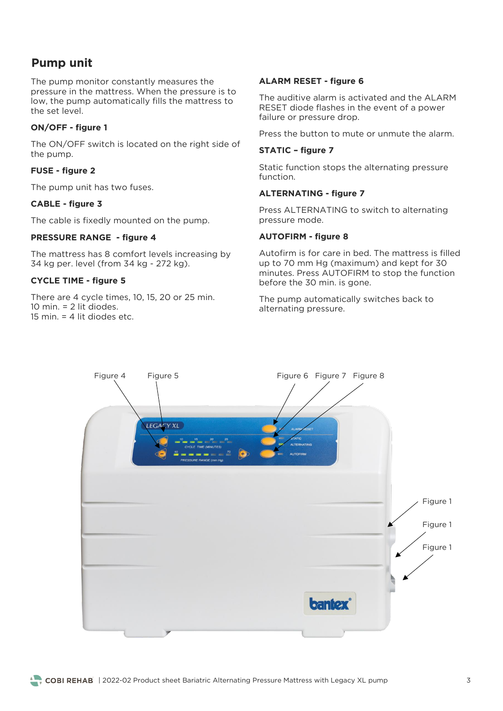# **Pump unit**

The pump monitor constantly measures the pressure in the mattress. When the pressure is to low, the pump automatically fills the mattress to the set level.

### **ON/OFF - figure 1**

The ON/OFF switch is located on the right side of the pump. the pump.

### **FUSE - figure 2**

The pump unit has two functions of the pump unit has two functions of the pump unit of the pump units of the pump units of the pump units of the pump units of the pump units of the pump units of the pump units of the pump

### **CABLE - figure 3**

The cable is fixedly mounted on the pump.

### **PRESSURE RANGE - figure 4**

 $34 \text{ km} \text{ per level (from } 34 \text{ km} \text{ - } 272 \text{ km})$ 34 kg per. level (from 34 kg - 272 kg).

### **CYCLE TIME - figure 5**

There are 4 cycle times, 10, 15, 20 or 25 min.<br>10 min. = 2 lit diodes. 15 min.  $=$  4 lit diodes etc.

### **ALARM RESET - figure 6**

The auditive alarm is activated and the ALARM RESET diode flashes in the event of a power failure or pressure drop. failure or pressure drop.

#### **STATIC – figure 7**

Static function stops the alternating pressure function.

#### **ALTERNATING - figure 7**

Press ALTERNATING to switch to alternating<br>pressure mode. pressure mode.

#### **AUTOFIRM - figure 8**

Autofirm is for care in bed. The mattress is filled minutes. Press AUTOFIRM to stop the function before the 30 min. is gone. before the 30 min. is gone.

alternating pressure alternating pressure.

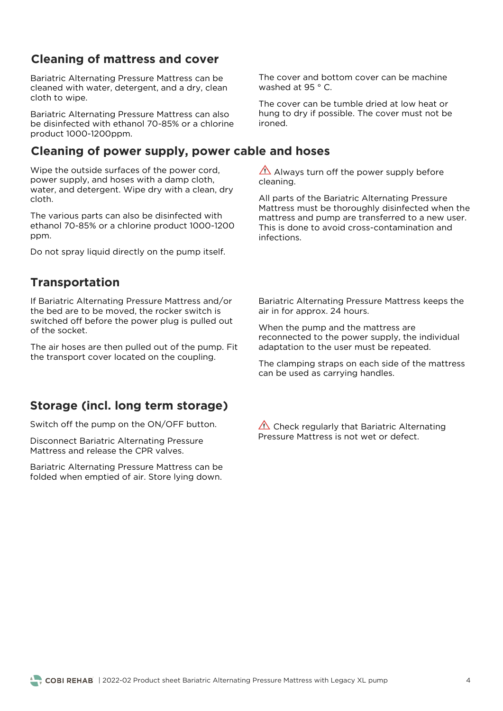# **Cleaning of mattress and cover**

Bariatric Alternating Pressure Mattress can be cleaned with water, detergent, and a dry, clean cloth to wipe. cloth to wipe.

Bariatric Alternating Pressure Mattress can also be disinfected with ethanol 70-85% or a chlorine product 1000-1200ppm. product 1000-1200ppm.

### **Cleaning of power supply, power cable and hoses**

Wipe the outside surfaces of the power cord, power supply, and hoses with a damp cloth, water, and detergent. Wipe dry with a clean, dry water, and detergent. Wipe dry with a clean, dry cloth.

The various parts can also be disinfected with ethanol 70-85% or a chlorine product 1000-1200 ppm.

Do not spray liquid directly on the pump itself.

# **Transportation**

If Bariatric Alternating Pressure Mattress and/or<br>the bed are to be moved, the rocker switch is switched off before the power plug is pulled out of the socket. of the socket.

The air hoses are then pulled out of the pump. Fit the transport cover located on the coupling. the transport cover located on the coupling.

# **Storage (incl. long term storage)**

Switch off the pump on the ON/OFF button.

Disconnect Bariatric Alternating Pressure Mattress and release the CPR valves. Mattress and release the CPR valves.

Bariatric Alternating Pressure Mattress can be folded when emptied of air. Store lying down. folded when emptied of air. Store lying down.

The cover and bottom cover can be machine washed at 95  $\degree$  C. washed at 95 ° C.

The cover can be tumble dried at low heat or<br>hung to dry if possible. The cover must not be ironed.

Always turn off the power supply before cleaning.

All parts of the Bariatric Alternating Pressure<br>Mattress must be thoroughly disinfected when the mattress and pump are transferred to a new user. This is done to avoid cross-contamination and infections. infections.

Bariatric Alternating Pressure Mattress keeps the air in for approx. 24 hours. air in for approx. 24 hours.

When the pump and the mattress are<br>reconnected to the power supply, the individual adaptation to the user must be repeated. adaptation to the user must be repeated.

The clamping straps on each side of the mattress. can be used as carrying handles.

 $\triangle$  Check regularly that Bariatric Alternating<br>Pressure Mattress is not wet or defect. Pressure Mattress is not wet or defect.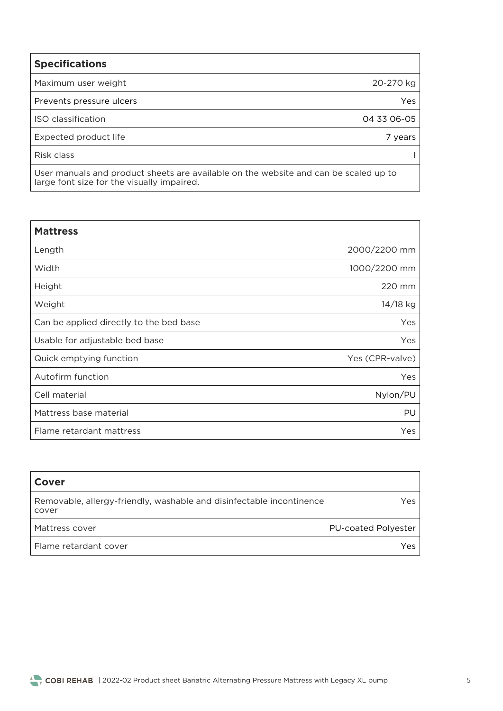| <b>Specifications</b>    |             |
|--------------------------|-------------|
| Maximum user weight      | 20-270 kg   |
| Prevents pressure ulcers | Yes         |
| ISO classification       | 04 33 06-05 |
| Expected product life    | 7 years     |
| Risk class               |             |
|                          |             |

 $\frac{1}{2}$  are font size for the visually impaired. large font size for the visually impaired.

| <b>Mattress</b>                         |                 |
|-----------------------------------------|-----------------|
| Length                                  | 2000/2200 mm    |
| Width                                   | 1000/2200 mm    |
| Height                                  | 220 mm          |
| Weight                                  | 14/18 kg        |
| Can be applied directly to the bed base | Yes             |
| Usable for adjustable bed base          | Yes             |
| Quick emptying function                 | Yes (CPR-valve) |
| Autofirm function                       | Yes             |
| Cell material                           | Nylon/PU        |
| Mattress base material                  | PU              |
| Flame retardant mattress                | Yes             |

| Cover                                                                         |                            |
|-------------------------------------------------------------------------------|----------------------------|
| Removable, allergy-friendly, washable and disinfectable incontinence<br>cover | Yes.                       |
| Mattress cover                                                                | <b>PU-coated Polyester</b> |
| Flame retardant cover                                                         | Yes                        |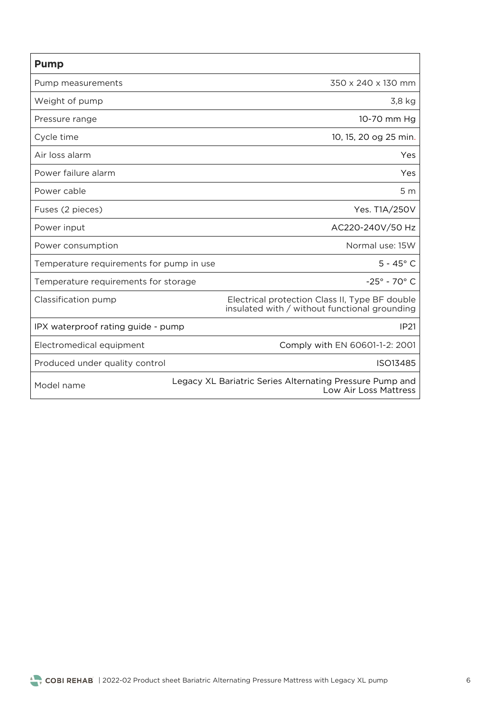| <b>Pump</b>                              |                                                                                                 |
|------------------------------------------|-------------------------------------------------------------------------------------------------|
| Pump measurements                        | 350 x 240 x 130 mm                                                                              |
| Weight of pump                           | 3,8 kg                                                                                          |
| Pressure range                           | 10-70 mm Hg                                                                                     |
| Cycle time                               | 10, 15, 20 og 25 min.                                                                           |
| Air loss alarm                           | Yes                                                                                             |
| Power failure alarm                      | Yes                                                                                             |
| Power cable                              | 5 <sub>m</sub>                                                                                  |
| Fuses (2 pieces)                         | Yes. T1A/250V                                                                                   |
| Power input                              | AC220-240V/50 Hz                                                                                |
| Power consumption                        | Normal use: 15W                                                                                 |
| Temperature requirements for pump in use | $5 - 45^{\circ}$ C                                                                              |
| Temperature requirements for storage     | $-25^{\circ} - 70^{\circ}$ C                                                                    |
| Classification pump                      | Electrical protection Class II, Type BF double<br>insulated with / without functional grounding |
| IPX waterproof rating guide - pump       | IP <sub>21</sub>                                                                                |
| Electromedical equipment                 | Comply with EN 60601-1-2: 2001                                                                  |
| Produced under quality control           | ISO13485                                                                                        |
| Model name                               | Legacy XL Bariatric Series Alternating Pressure Pump and<br>Low Air Loss Mattress               |